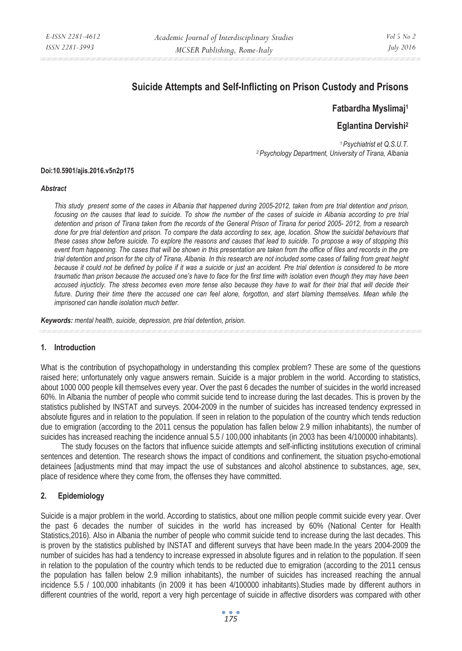# **Suicide Attempts and Self-Inflicting on Prison Custody and Prisons**

# **Fatbardha Myslimaj1**

# **Eglantina Dervishi2**

*1 Psychiatrist et Q.S.U.T. 2 Psychology Department, University of Tirana, Albania* 

#### **Doi:10.5901/ajis.2016.v5n2p175**

#### *Abstract*

*This study present some of the cases in Albania that happened during 2005-2012, taken from pre trial detention and prison, focusing on the causes that lead to suicide. To show the number of the cases of suicide in Albania according to pre trial detention and prison of Tirana taken from the records of the General Prison of Tirana for period 2005- 2012, from a research done for pre trial detention and prison. To compare the data according to sex, age, location. Show the suicidal behaviours that these cases show before suicide. To explore the reasons and causes that lead to suicide. To propose a way of stopping this event from happening. The cases that will be shown in this presentation are taken from the office of files and records in the pre trial detention and prison for the city of Tirana, Albania. In this research are not included some cases of falling from great height because it could not be defined by police if it was a suicide or just an accident. Pre trial detention is considered to be more traumatic than prison because the accused one's have to face for the first time with isolation even though they may have been accused injucticly. The stress becomes even more tense also because they have to wait for their trial that will decide their future. During their time there the accused one can feel alone, forgotton, and start blaming themselves. Mean while the imprisoned can handle isolation much better.* 

*Keywords: mental health, suicide, depression, pre trial detention, prision.* 

#### **1. Introduction**

What is the contribution of psychopathology in understanding this complex problem? These are some of the questions raised here; unfortunately only vague answers remain. Suicide is a major problem in the world. According to statistics, about 1000 000 people kill themselves every year. Over the past 6 decades the number of suicides in the world increased 60%. In Albania the number of people who commit suicide tend to increase during the last decades. This is proven by the statistics published by INSTAT and surveys. 2004-2009 in the number of suicides has increased tendency expressed in absolute figures and in relation to the population. If seen in relation to the population of the country which tends reduction due to emigration (according to the 2011 census the population has fallen below 2.9 million inhabitants), the number of suicides has increased reaching the incidence annual 5.5 / 100,000 inhabitants (in 2003 has been 4/100000 inhabitants).

The study focuses on the factors that influence suicide attempts and self-inflicting institutions execution of criminal sentences and detention. The research shows the impact of conditions and confinement, the situation psycho-emotional detainees [adjustments mind that may impact the use of substances and alcohol abstinence to substances, age, sex, place of residence where they come from, the offenses they have committed.

## **2. Epidemiology**

Suicide is a major problem in the world. According to statistics, about one million people commit suicide every year. Over the past 6 decades the number of suicides in the world has increased by 60% (National Center for Health Statistics,2016). Also in Albania the number of people who commit suicide tend to increase during the last decades. This is proven by the statistics published by INSTAT and different surveys that have been made.In the years 2004-2009 the number of suicides has had a tendency to increase expressed in absolute figures and in relation to the population. If seen in relation to the population of the country which tends to be reducted due to emigration (according to the 2011 census the population has fallen below 2.9 million inhabitants), the number of suicides has increased reaching the annual incidence 5.5 / 100,000 inhabitants (in 2009 it has been 4/100000 inhabitants).Studies made by different authors in different countries of the world, report a very high percentage of suicide in affective disorders was compared with other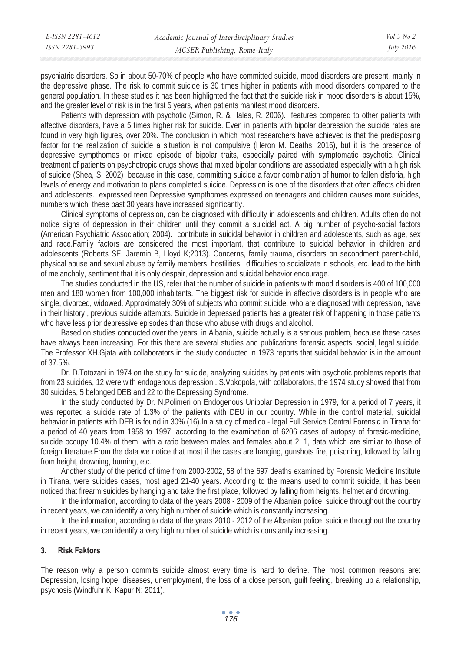| E-ISSN 2281-4612 | Academic Journal of Interdisciplinary Studies | $Vol_5$ No 2     |
|------------------|-----------------------------------------------|------------------|
| ISSN 2281-3993   | MCSER Publishing, Rome-Italy                  | <i>July 2016</i> |
|                  |                                               |                  |

psychiatric disorders. So in about 50-70% of people who have committed suicide, mood disorders are present, mainly in the depressive phase. The risk to commit suicide is 30 times higher in patients with mood disorders compared to the general population. In these studies it has been highlighted the fact that the suicide risk in mood disorders is about 15%, and the greater level of risk is in the first 5 years, when patients manifest mood disorders.

Patients with depression with psychotic (Simon, R. & Hales, R. 2006). features compared to other patients with affective disorders, have a 5 times higher risk for suicide. Even in patients with bipolar depression the suicide rates are found in very high figures, over 20%. The conclusion in which most researchers have achieved is that the predisposing factor for the realization of suicide a situation is not compulsive (Heron M. Deaths, 2016), but it is the presence of depressive sympthomes or mixed episode of bipolar traits, especially paired with symptomatic psychotic. Clinical treatment of patients on psychotropic drugs shows that mixed bipolar conditions are associated especially with a high risk of suicide (Shea, S. 2002) because in this case, committing suicide a favor combination of humor to fallen disforia, high levels of energy and motivation to plans completed suicide. Depression is one of the disorders that often affects children and adolescents. expressed teen Depressive sympthomes expressed on teenagers and children causes more suicides, numbers which these past 30 years have increased significantly.

Clinical symptoms of depression, can be diagnosed with difficulty in adolescents and children. Adults often do not notice signs of depression in their children until they commit a suicidal act. A big number of psycho-social factors (American Psychiatric Association; 2004). contribute in suicidal behavior in children and adolescents, such as age, sex and race.Family factors are considered the most important, that contribute to suicidal behavior in children and adolescents (Roberts SE, Jaremin B, Lloyd K;2013). Concerns, family trauma, disorders on secondment parent-child, physical abuse and sexual abuse by family members, hostilities, difficulties to socializate in schools, etc. lead to the birth of melancholy, sentiment that it is only despair, depression and suicidal behavior encourage.

The studies conducted in the US, refer that the number of suicide in patients with mood disorders is 400 of 100,000 men and 180 women from 100,000 inhabitants. The biggest risk for suicide in affective disorders is in people who are single, divorced, widowed. Approximately 30% of subjects who commit suicide, who are diagnosed with depression, have in their history , previous suicide attempts. Suicide in depressed patients has a greater risk of happening in those patients who have less prior depressive episodes than those who abuse with drugs and alcohol.

Based on studies conducted over the years, in Albania, suicide actually is a serious problem, because these cases have always been increasing. For this there are several studies and publications forensic aspects, social, legal suicide. The Professor XH.Gjata with collaborators in the study conducted in 1973 reports that suicidal behavior is in the amount of 37.5%.

Dr. D.Totozani in 1974 on the study for suicide, analyzing suicides by patients wiith psychotic problems reports that from 23 suicides, 12 were with endogenous depression . S.Vokopola, with collaborators, the 1974 study showed that from 30 suicides, 5 belonged DEB and 22 to the Depressing Syndrome.

In the study conducted by Dr. N.Polimeri on Endogenous Unipolar Depression in 1979, for a period of 7 years, it was reported a suicide rate of 1.3% of the patients with DEU in our country. While in the control material, suicidal behavior in patients with DEB is found in 30% (16).In a study of medico - legal Full Service Central Forensic in Tirana for a period of 40 years from 1958 to 1997, according to the examination of 6206 cases of autopsy of foresic-medicine, suicide occupy 10.4% of them, with a ratio between males and females about 2: 1, data which are similar to those of foreign literature.From the data we notice that most if the cases are hanging, gunshots fire, poisoning, followed by falling from height, drowning, burning, etc.

Another study of the period of time from 2000-2002, 58 of the 697 deaths examined by Forensic Medicine Institute in Tirana, were suicides cases, most aged 21-40 years. According to the means used to commit suicide, it has been noticed that firearm suicides by hanging and take the first place, followed by falling from heights, helmet and drowning.

In the information, according to data of the years 2008 - 2009 of the Albanian police, suicide throughout the country in recent years, we can identify a very high number of suicide which is constantly increasing.

In the information, according to data of the years 2010 - 2012 of the Albanian police, suicide throughout the country in recent years, we can identify a very high number of suicide which is constantly increasing.

### **3. Risk Faktors**

The reason why a person commits suicide almost every time is hard to define. The most common reasons are: Depression, losing hope, diseases, unemployment, the loss of a close person, guilt feeling, breaking up a relationship, psychosis (Windfuhr K, Kapur N; 2011).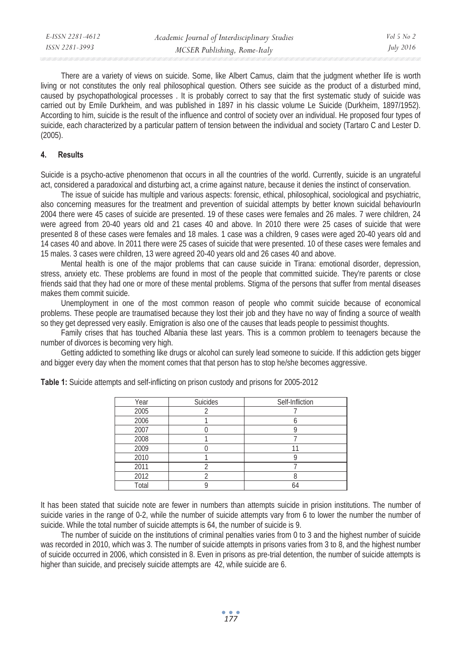| E-ISSN 2281-4612 | Academic Journal of Interdisciplinary Studies | Vol 5 No 2       |
|------------------|-----------------------------------------------|------------------|
| ISSN 2281-3993   | MCSER Publishing, Rome-Italy                  | <i>July 2016</i> |
|                  |                                               |                  |

There are a variety of views on suicide. Some, like Albert Camus, claim that the judgment whether life is worth living or not constitutes the only real philosophical question. Others see suicide as the product of a disturbed mind, caused by psychopathological processes . It is probably correct to say that the first systematic study of suicide was carried out by Emile Durkheim, and was published in 1897 in his classic volume Le Suicide (Durkheim, 1897/1952). According to him, suicide is the result of the influence and control of society over an individual. He proposed four types of suicide, each characterized by a particular pattern of tension between the individual and society (Tartaro C and Lester D. (2005).

#### **4. Results**

Suicide is a psycho-active phenomenon that occurs in all the countries of the world. Currently, suicide is an ungrateful act, considered a paradoxical and disturbing act, a crime against nature, because it denies the instinct of conservation.

The issue of suicide has multiple and various aspects: forensic, ethical, philosophical, sociological and psychiatric, also concerning measures for the treatment and prevention of suicidal attempts by better known suicidal behaviourIn 2004 there were 45 cases of suicide are presented. 19 of these cases were females and 26 males. 7 were children, 24 were agreed from 20-40 years old and 21 cases 40 and above. In 2010 there were 25 cases of suicide that were presented 8 of these cases were females and 18 males. 1 case was a children, 9 cases were aged 20-40 years old and 14 cases 40 and above. In 2011 there were 25 cases of suicide that were presented. 10 of these cases were females and 15 males. 3 cases were children, 13 were agreed 20-40 years old and 26 cases 40 and above.

Mental health is one of the major problems that can cause suicide in Tirana: emotional disorder, depression, stress, anxiety etc. These problems are found in most of the people that committed suicide. They're parents or close friends said that they had one or more of these mental problems. Stigma of the persons that suffer from mental diseases makes them commit suicide.

Unemployment in one of the most common reason of people who commit suicide because of economical problems. These people are traumatised because they lost their job and they have no way of finding a source of wealth so they get depressed very easily. Emigration is also one of the causes that leads people to pessimist thoughts.

Family crises that has touched Albania these last years. This is a common problem to teenagers because the number of divorces is becoming very high.

Getting addicted to something like drugs or alcohol can surely lead someone to suicide. If this addiction gets bigger and bigger every day when the moment comes that that person has to stop he/she becomes aggressive.

| Year  | Suicides | Self-Infliction |
|-------|----------|-----------------|
| 2005  |          |                 |
| 2006  |          |                 |
| 2007  |          |                 |
| 2008  |          |                 |
| 2009  |          | 11              |
| 2010  |          |                 |
| 2011  |          |                 |
| 2012  |          |                 |
| Total |          |                 |

**Table 1:** Suicide attempts and self-inflicting on prison custody and prisons for 2005-2012

It has been stated that suicide note are fewer in numbers than attempts suicide in prision institutions. The number of suicide varies in the range of 0-2, while the number of suicide attempts vary from 6 to lower the number the number of suicide. While the total number of suicide attempts is 64, the number of suicide is 9.

The number of suicide on the institutions of criminal penalties varies from 0 to 3 and the highest number of suicide was recorded in 2010, which was 3. The number of suicide attempts in prisons varies from 3 to 8, and the highest number of suicide occurred in 2006, which consisted in 8. Even in prisons as pre-trial detention, the number of suicide attempts is higher than suicide, and precisely suicide attempts are 42, while suicide are 6.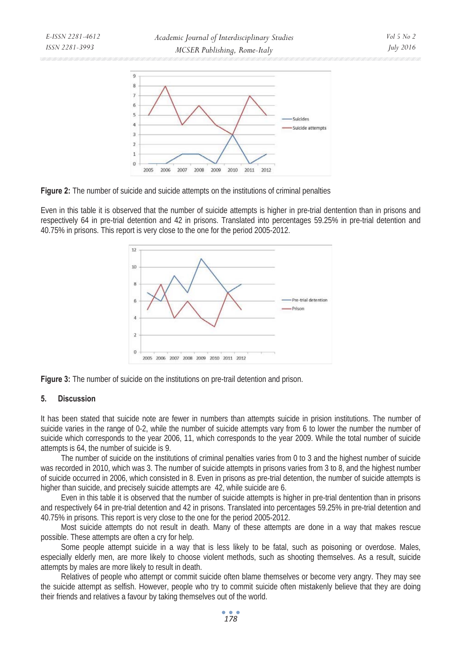

**Figure 2:** The number of suicide and suicide attempts on the institutions of criminal penalties

Even in this table it is observed that the number of suicide attempts is higher in pre-trial dentention than in prisons and respectively 64 in pre-trial detention and 42 in prisons. Translated into percentages 59.25% in pre-trial detention and 40.75% in prisons. This report is very close to the one for the period 2005-2012.





#### **5. Discussion**

It has been stated that suicide note are fewer in numbers than attempts suicide in prision institutions. The number of suicide varies in the range of 0-2, while the number of suicide attempts vary from 6 to lower the number the number of suicide which corresponds to the year 2006, 11, which corresponds to the year 2009. While the total number of suicide attempts is 64, the number of suicide is 9.

The number of suicide on the institutions of criminal penalties varies from 0 to 3 and the highest number of suicide was recorded in 2010, which was 3. The number of suicide attempts in prisons varies from 3 to 8, and the highest number of suicide occurred in 2006, which consisted in 8. Even in prisons as pre-trial detention, the number of suicide attempts is higher than suicide, and precisely suicide attempts are 42, while suicide are 6.

Even in this table it is observed that the number of suicide attempts is higher in pre-trial dentention than in prisons and respectively 64 in pre-trial detention and 42 in prisons. Translated into percentages 59.25% in pre-trial detention and 40.75% in prisons. This report is very close to the one for the period 2005-2012.

Most suicide attempts do not result in death. Many of these attempts are done in a way that makes rescue possible. These attempts are often a cry for help.

Some people attempt suicide in a way that is less likely to be fatal, such as poisoning or overdose. Males, especially elderly men, are more likely to choose violent methods, such as shooting themselves. As a result, suicide attempts by males are more likely to result in death.

Relatives of people who attempt or commit suicide often blame themselves or become very angry. They may see the suicide attempt as selfish. However, people who try to commit suicide often mistakenly believe that they are doing their friends and relatives a favour by taking themselves out of the world.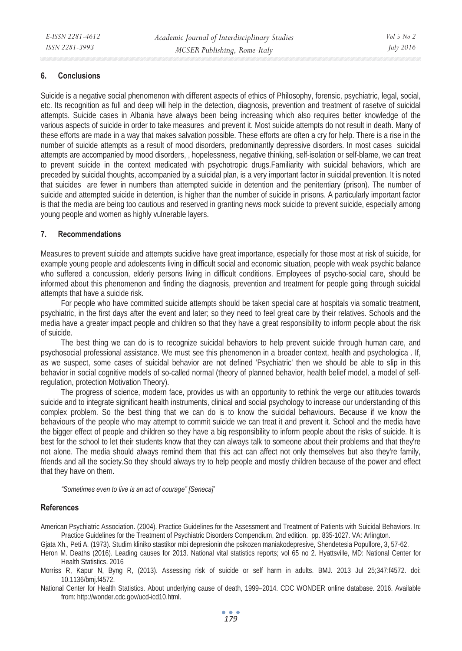### **6. Conclusions**

Suicide is a negative social phenomenon with different aspects of ethics of Philosophy, forensic, psychiatric, legal, social, etc. Its recognition as full and deep will help in the detection, diagnosis, prevention and treatment of rasetve of suicidal attempts. Suicide cases in Albania have always been being increasing which also requires better knowledge of the various aspects of suicide in order to take measures and prevent it. Most suicide attempts do not result in death. Many of these efforts are made in a way that makes salvation possible. These efforts are often a cry for help. There is a rise in the number of suicide attempts as a result of mood disorders, predominantly depressive disorders. In most cases suicidal attempts are accompanied by mood disorders, , hopelessness, negative thinking, self-isolation or self-blame, we can treat to prevent suicide in the context medicated with psychotropic drugs.Familiarity with suicidal behaviors, which are preceded by suicidal thoughts, accompanied by a suicidal plan, is a very important factor in suicidal prevention. It is noted that suicides are fewer in numbers than attempted suicide in detention and the penitentiary (prison). The number of suicide and attempted suicide in detention, is higher than the number of suicide in prisons. A particularly important factor is that the media are being too cautious and reserved in granting news mock suicide to prevent suicide, especially among young people and women as highly vulnerable layers.

#### **7. Recommendations**

Measures to prevent suicide and attempts sucidive have great importance, especially for those most at risk of suicide, for example young people and adolescents living in difficult social and economic situation, people with weak psychic balance who suffered a concussion, elderly persons living in difficult conditions. Employees of psycho-social care, should be informed about this phenomenon and finding the diagnosis, prevention and treatment for people going through suicidal attempts that have a suicide risk.

For people who have committed suicide attempts should be taken special care at hospitals via somatic treatment, psychiatric, in the first days after the event and later; so they need to feel great care by their relatives. Schools and the media have a greater impact people and children so that they have a great responsibility to inform people about the risk of suicide.

The best thing we can do is to recognize suicidal behaviors to help prevent suicide through human care, and psychosocial professional assistance. We must see this phenomenon in a broader context, health and psychologica . If, as we suspect, some cases of suicidal behavior are not defined 'Psychiatric' then we should be able to slip in this behavior in social cognitive models of so-called normal (theory of planned behavior, health belief model, a model of selfregulation, protection Motivation Theory).

The progress of science, modern face, provides us with an opportunity to rethink the verge our attitudes towards suicide and to integrate significant health instruments, clinical and social psychology to increase our understanding of this complex problem. So the best thing that we can do is to know the suicidal behaviours. Because if we know the behaviours of the people who may attempt to commit suicide we can treat it and prevent it. School and the media have the bigger effect of people and children so they have a big responsibility to inform people about the risks of suicide. It is best for the school to let their students know that they can always talk to someone about their problems and that they're not alone. The media should always remind them that this act can affect not only themselves but also they're family, friends and all the society.So they should always try to help people and mostly children because of the power and effect that they have on them.

*"Sometimes even to live is an act of courage" [Seneca]'* 

#### **References**

American Psychiatric Association. (2004). Practice Guidelines for the Assessment and Treatment of Patients with Suicidal Behaviors. In: Practice Guidelines for the Treatment of Psychiatric Disorders Compendium, 2nd edition. pp. 835-1027. VA: Arlington.

Gjata Xh., Peti A. (1973). Studim kliniko stastikor mbi depresionin dhe psikozen maniakodepresive, Shendetesia Popullore, 3, 57-62.

Heron M. Deaths (2016). Leading causes for 2013. National vital statistics reports; vol 65 no 2. Hyattsville, MD: National Center for Health Statistics. 2016

Morriss R, Kapur N, Byng R, (2013). Assessing risk of suicide or self harm in adults. BMJ. 2013 Jul 25;347:f4572. doi: 10.1136/bmj.f4572.

National Center for Health Statistics. About underlying cause of death, 1999–2014. CDC WONDER online database. 2016. Available from: http://wonder.cdc.gov/ucd-icd10.html.